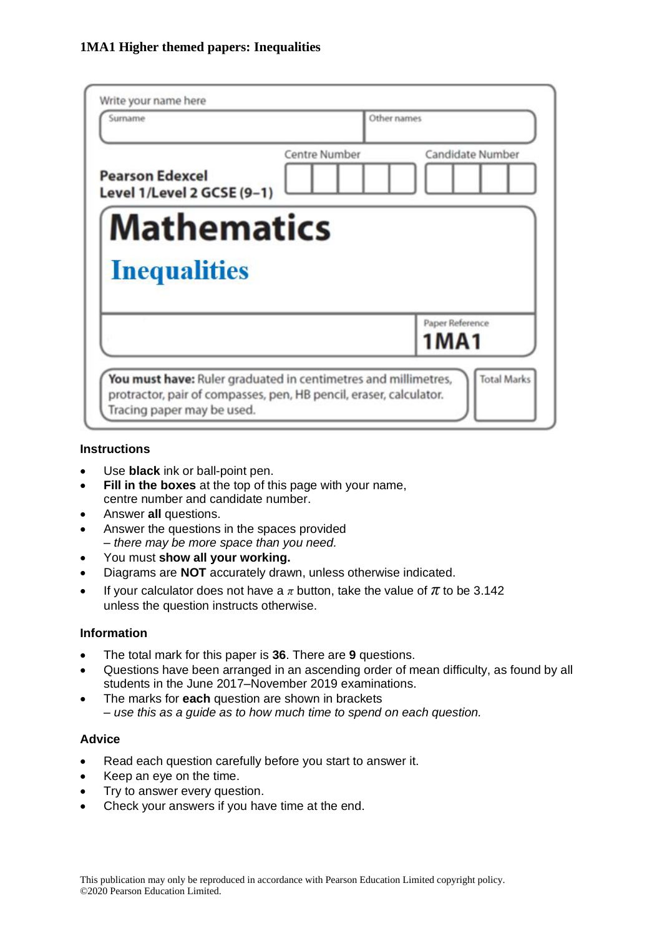| Surname                                              |               | Other names      |  |
|------------------------------------------------------|---------------|------------------|--|
| <b>Pearson Edexcel</b><br>Level 1/Level 2 GCSE (9-1) | Centre Number | Candidate Number |  |
| <b>Mathematics</b>                                   |               |                  |  |
| <b>Inequalities</b>                                  |               |                  |  |
|                                                      |               |                  |  |

#### **Instructions**

- Use **black** ink or ball-point pen.
- **Fill in the boxes** at the top of this page with your name, centre number and candidate number.
- Answer **all** questions.
- Answer the questions in the spaces provided *– there may be more space than you need.*
- You must **show all your working.**
- Diagrams are **NOT** accurately drawn, unless otherwise indicated.
- If your calculator does not have a  $\pi$  button, take the value of  $\pi$  to be 3.142 unless the question instructs otherwise.

#### **Information**

- The total mark for this paper is **36**. There are **9** questions.
- Questions have been arranged in an ascending order of mean difficulty, as found by all students in the June 2017–November 2019 examinations.
- The marks for **each** question are shown in brackets *– use this as a guide as to how much time to spend on each question.*

#### **Advice**

- Read each question carefully before you start to answer it.
- Keep an eye on the time.
- Try to answer every question.
- Check your answers if you have time at the end.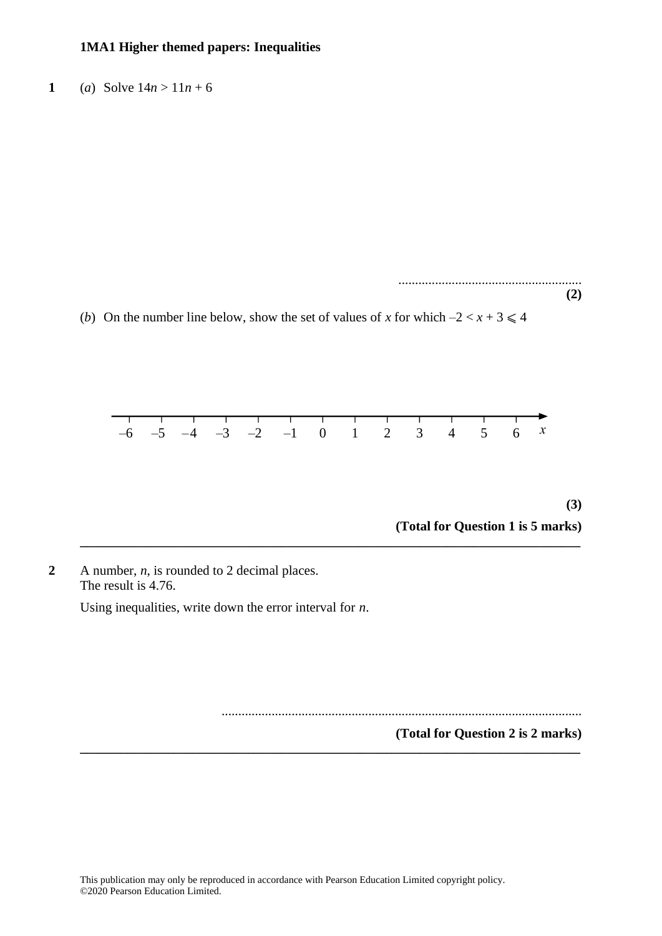**1** (*a*) Solve  $14n > 11n + 6$ 

....................................................... **(2)**

(*b*) On the number line below, show the set of values of *x* for which  $-2 < x + 3 \le 4$ 



**\_\_\_\_\_\_\_\_\_\_\_\_\_\_\_\_\_\_\_\_\_\_\_\_\_\_\_\_\_\_\_\_\_\_\_\_\_\_\_\_\_\_\_\_\_\_\_\_\_\_\_\_\_\_\_\_\_\_\_\_\_\_\_\_\_\_\_\_\_\_\_\_\_\_\_**

**\_\_\_\_\_\_\_\_\_\_\_\_\_\_\_\_\_\_\_\_\_\_\_\_\_\_\_\_\_\_\_\_\_\_\_\_\_\_\_\_\_\_\_\_\_\_\_\_\_\_\_\_\_\_\_\_\_\_\_\_\_\_\_\_\_\_\_\_\_\_\_\_\_\_\_**

**(3) (Total for Question 1 is 5 marks) (3)**

**2** A number, *n*, is rounded to 2 decimal places. The result is 4.76. Using inequalities, write down the error interval for *n*.

............................................................................................................

**(Total for Question 2 is 2 marks)**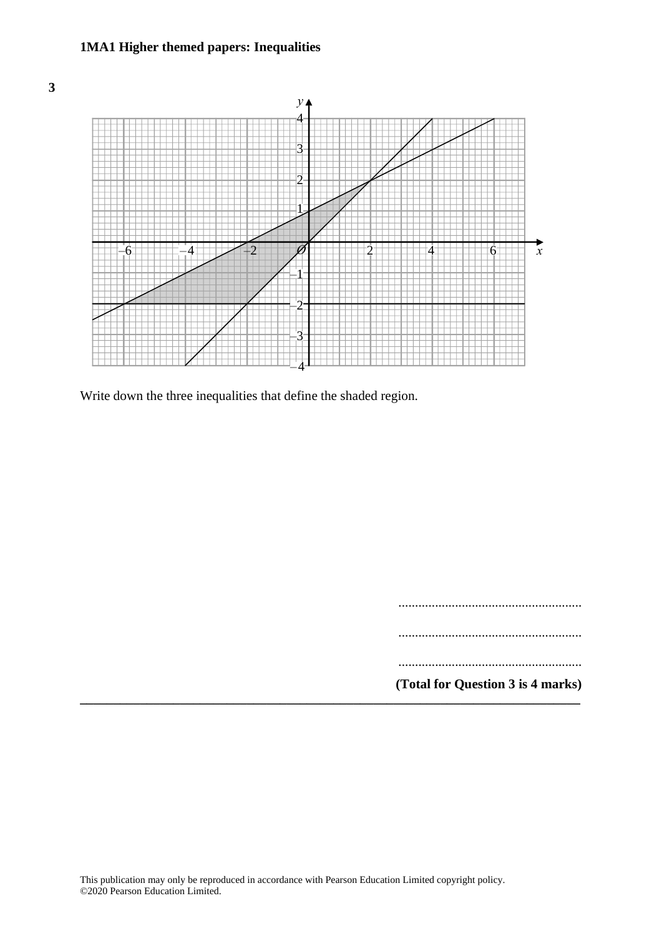



Write down the three inequalities that define the shaded region. Write down the three inequalities that define the shaded region.

.......................................................

.......................................................

.......................................................

**(Total for Question 3 is 4 marks) \_\_\_\_\_\_\_\_\_\_\_\_\_\_\_\_\_\_\_\_\_\_\_\_\_\_\_\_\_\_\_\_\_\_\_\_\_\_\_\_\_\_\_\_\_\_\_\_\_\_\_\_\_\_\_\_\_\_\_\_\_\_\_\_\_\_\_\_\_\_\_\_\_\_\_**

**(Total for Question 13 is 4 marks)**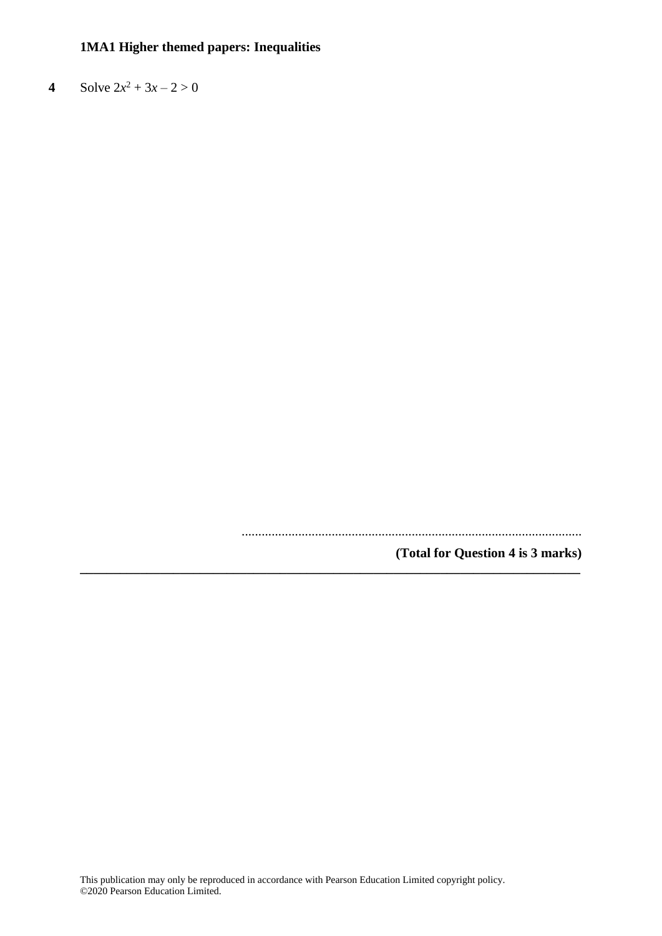**4** Solve  $2x^2 + 3x - 2 > 0$ 

......................................................................................................

**(Total for Question 4 is 3 marks) \_\_\_\_\_\_\_\_\_\_\_\_\_\_\_\_\_\_\_\_\_\_\_\_\_\_\_\_\_\_\_\_\_\_\_\_\_\_\_\_\_\_\_\_\_\_\_\_\_\_\_\_\_\_\_\_\_\_\_\_\_\_\_\_\_\_\_\_\_\_\_\_\_\_\_**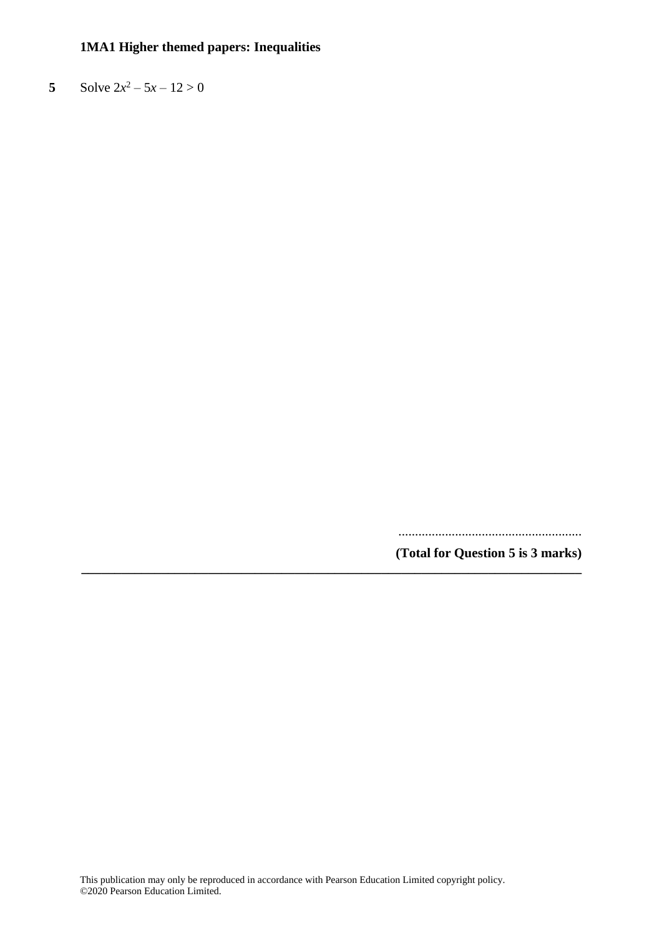**5** Solve  $2x^2 - 5x - 12 > 0$ 

.......................................................

**(Total for Question 5 is 3 marks) \_\_\_\_\_\_\_\_\_\_\_\_\_\_\_\_\_\_\_\_\_\_\_\_\_\_\_\_\_\_\_\_\_\_\_\_\_\_\_\_\_\_\_\_\_\_\_\_\_\_\_\_\_\_\_\_\_\_\_\_\_\_\_\_\_\_\_\_\_\_\_\_\_\_\_**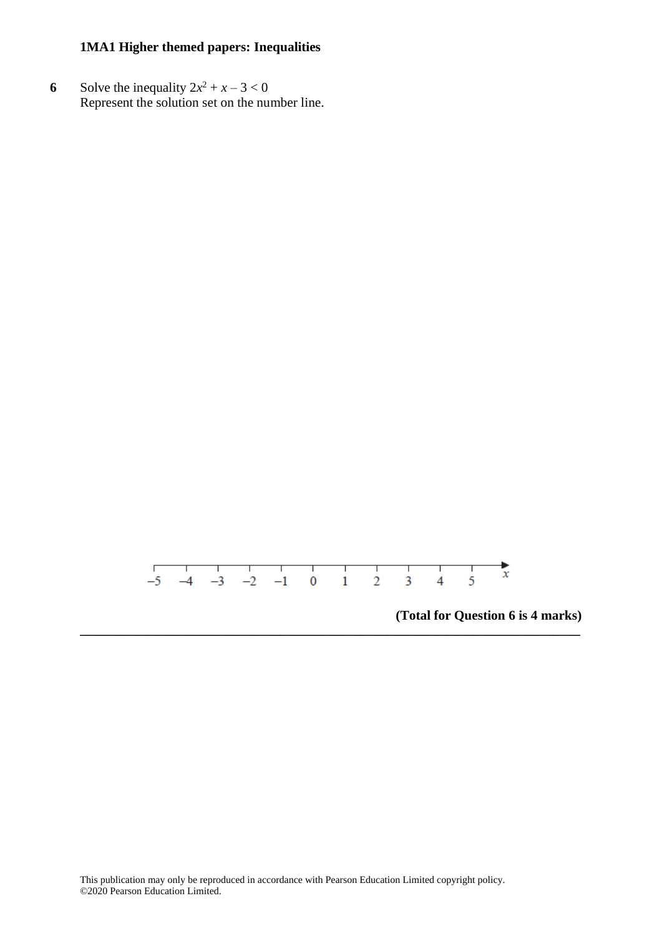**6** Solve the inequality  $2x^2 + x - 3 < 0$ Represent the solution set on the number line.



**\_\_\_\_\_\_\_\_\_\_\_\_\_\_\_\_\_\_\_\_\_\_\_\_\_\_\_\_\_\_\_\_\_\_\_\_\_\_\_\_\_\_\_\_\_\_\_\_\_\_\_\_\_\_\_\_\_\_\_\_\_\_\_\_\_\_\_\_\_\_\_\_\_\_\_**

**(Total for Question 6 is 4 marks)**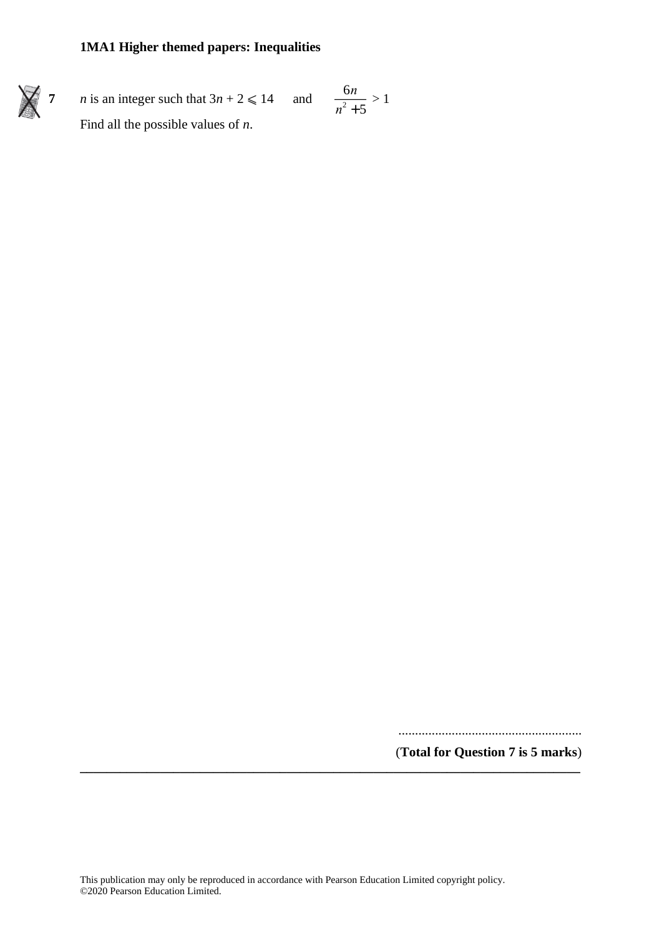

**7** *n* is an integer such that  $3n + 2 \le 14$  and Find all the possible values of *n*.

$$
\frac{6n}{n^2+5} > 1
$$

.......................................................

(**Total for Question 7 is 5 marks**) **\_\_\_\_\_\_\_\_\_\_\_\_\_\_\_\_\_\_\_\_\_\_\_\_\_\_\_\_\_\_\_\_\_\_\_\_\_\_\_\_\_\_\_\_\_\_\_\_\_\_\_\_\_\_\_\_\_\_\_\_\_\_\_\_\_\_\_\_\_\_\_\_\_\_\_**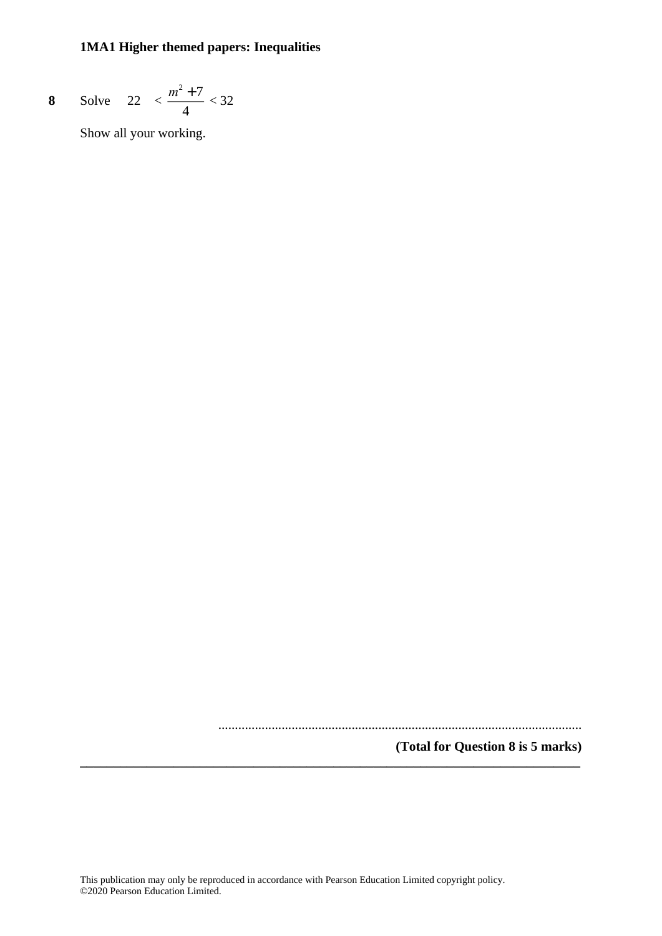8 Solve 
$$
22 < \frac{m^2 + 7}{4} < 32
$$

Show all your working.

.............................................................................................................

**(Total for Question 8 is 5 marks)**

**\_\_\_\_\_\_\_\_\_\_\_\_\_\_\_\_\_\_\_\_\_\_\_\_\_\_\_\_\_\_\_\_\_\_\_\_\_\_\_\_\_\_\_\_\_\_\_\_\_\_\_\_\_\_\_\_\_\_\_\_\_\_\_\_\_\_\_\_\_\_\_\_\_\_\_**